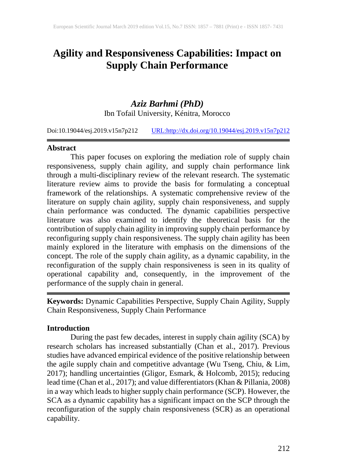# **Agility and Responsiveness Capabilities: Impact on Supply Chain Performance**

## *Aziz Barhmi (PhD)*

Ibn Tofail University, Kénitra, Morocco

Doi:10.19044/esj.2019.v15n7p212 [URL:http://dx.doi.org/10.19044/esj.2019.v15n7p212](http://dx.doi.org/10.19044/esj.2019.v15n7p212)

#### **Abstract**

This paper focuses on exploring the mediation role of supply chain responsiveness, supply chain agility, and supply chain performance link through a multi-disciplinary review of the relevant research. The systematic literature review aims to provide the basis for formulating a conceptual framework of the relationships. A systematic comprehensive review of the literature on supply chain agility, supply chain responsiveness, and supply chain performance was conducted. The dynamic capabilities perspective literature was also examined to identify the theoretical basis for the contribution of supply chain agility in improving supply chain performance by reconfiguring supply chain responsiveness. The supply chain agility has been mainly explored in the literature with emphasis on the dimensions of the concept. The role of the supply chain agility, as a dynamic capability, in the reconfiguration of the supply chain responsiveness is seen in its quality of operational capability and, consequently, in the improvement of the performance of the supply chain in general.

**Keywords:** Dynamic Capabilities Perspective, Supply Chain Agility, Supply Chain Responsiveness, Supply Chain Performance

## **Introduction**

During the past few decades, interest in supply chain agility (SCA) by research scholars has increased substantially (Chan et al., 2017). Previous studies have advanced empirical evidence of the positive relationship between the agile supply chain and competitive advantage (Wu Tseng, Chiu, & Lim, 2017); handling uncertainties (Gligor, Esmark, & Holcomb, 2015); reducing lead time (Chan et al., 2017); and value differentiators (Khan & Pillania, 2008) in a way which leads to higher supply chain performance (SCP). However, the SCA as a dynamic capability has a significant impact on the SCP through the reconfiguration of the supply chain responsiveness (SCR) as an operational capability.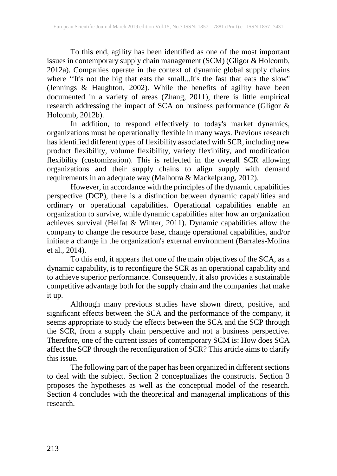To this end, agility has been identified as one of the most important issues in contemporary supply chain management (SCM) (Gligor & Holcomb, 2012a). Companies operate in the context of dynamic global supply chains where ''It's not the big that eats the small...It's the fast that eats the slow'' (Jennings & Haughton, 2002). While the benefits of agility have been documented in a variety of areas (Zhang, 2011), there is little empirical research addressing the impact of SCA on business performance (Gligor & Holcomb, 2012b).

In addition, to respond effectively to today's market dynamics, organizations must be operationally flexible in many ways. Previous research has identified different types of flexibility associated with SCR, including new product flexibility, volume flexibility, variety flexibility, and modification flexibility (customization). This is reflected in the overall SCR allowing organizations and their supply chains to align supply with demand requirements in an adequate way (Malhotra & Mackelprang, 2012).

However, in accordance with the principles of the dynamic capabilities perspective (DCP), there is a distinction between dynamic capabilities and ordinary or operational capabilities. Operational capabilities enable an organization to survive, while dynamic capabilities alter how an organization achieves survival (Helfat & Winter, 2011). Dynamic capabilities allow the company to change the resource base, change operational capabilities, and/or initiate a change in the organization's external environment (Barrales-Molina et al., 2014).

To this end, it appears that one of the main objectives of the SCA, as a dynamic capability, is to reconfigure the SCR as an operational capability and to achieve superior performance. Consequently, it also provides a sustainable competitive advantage both for the supply chain and the companies that make it up.

Although many previous studies have shown direct, positive, and significant effects between the SCA and the performance of the company, it seems appropriate to study the effects between the SCA and the SCP through the SCR, from a supply chain perspective and not a business perspective. Therefore, one of the current issues of contemporary SCM is: How does SCA affect the SCP through the reconfiguration of SCR? This article aims to clarify this issue.

The following part of the paper has been organized in different sections to deal with the subject. Section 2 conceptualizes the constructs. Section 3 proposes the hypotheses as well as the conceptual model of the research. Section 4 concludes with the theoretical and managerial implications of this research.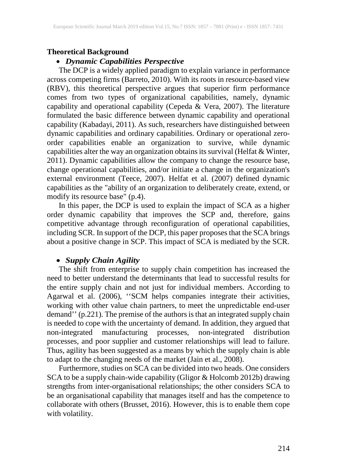## **Theoretical Background**

## • *Dynamic Capabilities Perspective*

The DCP is a widely applied paradigm to explain variance in performance across competing firms (Barreto, 2010). With its roots in resource-based view (RBV), this theoretical perspective argues that superior firm performance comes from two types of organizational capabilities, namely, dynamic capability and operational capability (Cepeda & Vera, 2007). The literature formulated the basic difference between dynamic capability and operational capability (Kabadayi, 2011). As such, researchers have distinguished between dynamic capabilities and ordinary capabilities. Ordinary or operational zeroorder capabilities enable an organization to survive, while dynamic capabilities alter the way an organization obtains its survival (Helfat  $\&$  Winter, 2011). Dynamic capabilities allow the company to change the resource base, change operational capabilities, and/or initiate a change in the organization's external environment (Teece, 2007). Helfat et al. (2007) defined dynamic capabilities as the "ability of an organization to deliberately create, extend, or modify its resource base" (p.4).

In this paper, the DCP is used to explain the impact of SCA as a higher order dynamic capability that improves the SCP and, therefore, gains competitive advantage through reconfiguration of operational capabilities, including SCR. In support of the DCP, this paper proposes that the SCA brings about a positive change in SCP. This impact of SCA is mediated by the SCR.

## • *Supply Chain Agility*

The shift from enterprise to supply chain competition has increased the need to better understand the determinants that lead to successful results for the entire supply chain and not just for individual members. According to Agarwal et al. (2006), ''SCM helps companies integrate their activities, working with other value chain partners, to meet the unpredictable end-user demand'' (p.221). The premise of the authors is that an integrated supply chain is needed to cope with the uncertainty of demand. In addition, they argued that non-integrated manufacturing processes, non-integrated distribution processes, and poor supplier and customer relationships will lead to failure. Thus, agility has been suggested as a means by which the supply chain is able to adapt to the changing needs of the market (Jain et al., 2008).

Furthermore, studies on SCA can be divided into two heads. One considers SCA to be a supply chain-wide capability (Gligor & Holcomb 2012b) drawing strengths from inter-organisational relationships; the other considers SCA to be an organisational capability that manages itself and has the competence to collaborate with others (Brusset, 2016). However, this is to enable them cope with volatility.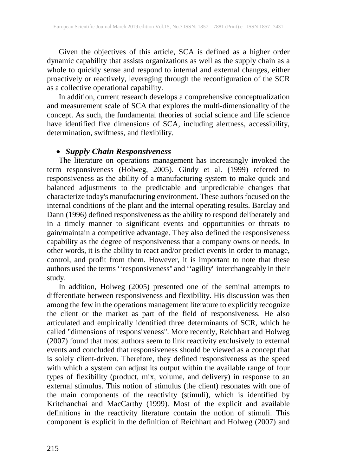Given the objectives of this article, SCA is defined as a higher order dynamic capability that assists organizations as well as the supply chain as a whole to quickly sense and respond to internal and external changes, either proactively or reactively, leveraging through the reconfiguration of the SCR as a collective operational capability.

In addition, current research develops a comprehensive conceptualization and measurement scale of SCA that explores the multi-dimensionality of the concept. As such, the fundamental theories of social science and life science have identified five dimensions of SCA, including alertness, accessibility, determination, swiftness, and flexibility.

## • *Supply Chain Responsiveness*

The literature on operations management has increasingly invoked the term responsiveness (Holweg, 2005). Gindy et al. (1999) referred to responsiveness as the ability of a manufacturing system to make quick and balanced adjustments to the predictable and unpredictable changes that characterize today's manufacturing environment. These authors focused on the internal conditions of the plant and the internal operating results. Barclay and Dann (1996) defined responsiveness as the ability to respond deliberately and in a timely manner to significant events and opportunities or threats to gain/maintain a competitive advantage. They also defined the responsiveness capability as the degree of responsiveness that a company owns or needs. In other words, it is the ability to react and/or predict events in order to manage, control, and profit from them. However, it is important to note that these authors used the terms ''responsiveness'' and ''agility'' interchangeably in their study.

In addition, Holweg (2005) presented one of the seminal attempts to differentiate between responsiveness and flexibility. His discussion was then among the few in the operations management literature to explicitly recognize the client or the market as part of the field of responsiveness. He also articulated and empirically identified three determinants of SCR, which he called "dimensions of responsiveness". More recently, Reichhart and Holweg (2007) found that most authors seem to link reactivity exclusively to external events and concluded that responsiveness should be viewed as a concept that is solely client-driven. Therefore, they defined responsiveness as the speed with which a system can adjust its output within the available range of four types of flexibility (product, mix, volume, and delivery) in response to an external stimulus. This notion of stimulus (the client) resonates with one of the main components of the reactivity (stimuli), which is identified by Kritchanchai and MacCarthy (1999). Most of the explicit and available definitions in the reactivity literature contain the notion of stimuli. This component is explicit in the definition of Reichhart and Holweg (2007) and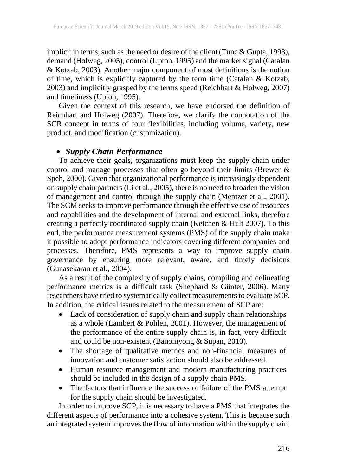implicit in terms, such as the need or desire of the client (Tunc & Gupta, 1993), demand (Holweg, 2005), control (Upton, 1995) and the market signal (Catalan & Kotzab, 2003). Another major component of most definitions is the notion of time, which is explicitly captured by the term time (Catalan & Kotzab, 2003) and implicitly grasped by the terms speed (Reichhart & Holweg, 2007) and timeliness (Upton, 1995).

Given the context of this research, we have endorsed the definition of Reichhart and Holweg (2007). Therefore, we clarify the connotation of the SCR concept in terms of four flexibilities, including volume, variety, new product, and modification (customization).

## • *Supply Chain Performance*

To achieve their goals, organizations must keep the supply chain under control and manage processes that often go beyond their limits (Brewer & Speh, 2000). Given that organizational performance is increasingly dependent on supply chain partners (Li et al., 2005), there is no need to broaden the vision of management and control through the supply chain (Mentzer et al., 2001). The SCM seeks to improve performance through the effective use of resources and capabilities and the development of internal and external links, therefore creating a perfectly coordinated supply chain (Ketchen & Hult 2007). To this end, the performance measurement systems (PMS) of the supply chain make it possible to adopt performance indicators covering different companies and processes. Therefore, PMS represents a way to improve supply chain governance by ensuring more relevant, aware, and timely decisions (Gunasekaran et al., 2004).

As a result of the complexity of supply chains, compiling and delineating performance metrics is a difficult task (Shephard & Günter, 2006). Many researchers have tried to systematically collect measurements to evaluate SCP. In addition, the critical issues related to the measurement of SCP are:

- Lack of consideration of supply chain and supply chain relationships as a whole (Lambert & Pohlen, 2001). However, the management of the performance of the entire supply chain is, in fact, very difficult and could be non-existent (Banomyong & Supan, 2010).
- The shortage of qualitative metrics and non-financial measures of innovation and customer satisfaction should also be addressed.
- Human resource management and modern manufacturing practices should be included in the design of a supply chain PMS.
- The factors that influence the success or failure of the PMS attempt for the supply chain should be investigated.

In order to improve SCP, it is necessary to have a PMS that integrates the different aspects of performance into a cohesive system. This is because such an integrated system improves the flow of information within the supply chain.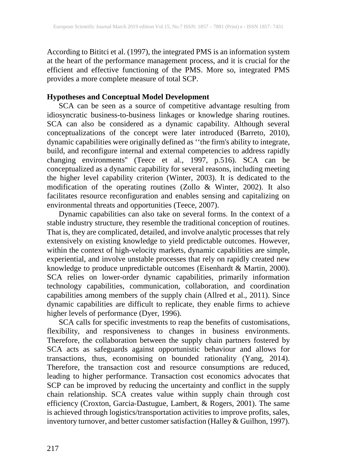According to Bititci et al. (1997), the integrated PMS is an information system at the heart of the performance management process, and it is crucial for the efficient and effective functioning of the PMS. More so, integrated PMS provides a more complete measure of total SCP.

## **Hypotheses and Conceptual Model Development**

SCA can be seen as a source of competitive advantage resulting from idiosyncratic business-to-business linkages or knowledge sharing routines. SCA can also be considered as a dynamic capability. Although several conceptualizations of the concept were later introduced (Barreto, 2010), dynamic capabilities were originally defined as ''the firm's ability to integrate, build, and reconfigure internal and external competencies to address rapidly changing environments'' (Teece et al., 1997, p.516). SCA can be conceptualized as a dynamic capability for several reasons, including meeting the higher level capability criterion (Winter, 2003). It is dedicated to the modification of the operating routines (Zollo & Winter, 2002). It also facilitates resource reconfiguration and enables sensing and capitalizing on environmental threats and opportunities (Teece, 2007).

Dynamic capabilities can also take on several forms. In the context of a stable industry structure, they resemble the traditional conception of routines. That is, they are complicated, detailed, and involve analytic processes that rely extensively on existing knowledge to yield predictable outcomes. However, within the context of high-velocity markets, dynamic capabilities are simple, experiential, and involve unstable processes that rely on rapidly created new knowledge to produce unpredictable outcomes (Eisenhardt & Martin, 2000). SCA relies on lower-order dynamic capabilities, primarily information technology capabilities, communication, collaboration, and coordination capabilities among members of the supply chain (Allred et al., 2011). Since dynamic capabilities are difficult to replicate, they enable firms to achieve higher levels of performance (Dyer, 1996).

SCA calls for specific investments to reap the benefits of customisations, flexibility, and responsiveness to changes in business environments. Therefore, the collaboration between the supply chain partners fostered by SCA acts as safeguards against opportunistic behaviour and allows for transactions, thus, economising on bounded rationality (Yang, 2014). Therefore, the transaction cost and resource consumptions are reduced, leading to higher performance. Transaction cost economics advocates that SCP can be improved by reducing the uncertainty and conflict in the supply chain relationship. SCA creates value within supply chain through cost efficiency (Croxton, Garcia-Dastugue, Lambert, & Rogers, 2001). The same is achieved through logistics/transportation activities to improve profits, sales, inventory turnover, and better customer satisfaction (Halley & Guilhon, 1997).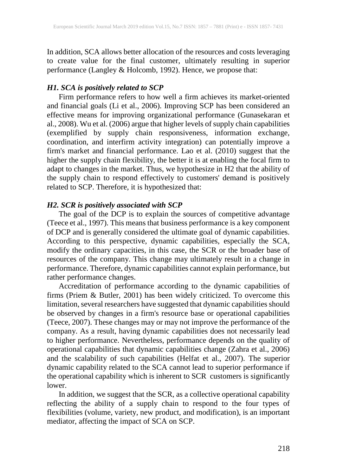In addition, SCA allows better allocation of the resources and costs leveraging to create value for the final customer, ultimately resulting in superior performance (Langley & Holcomb, 1992). Hence, we propose that:

### *H1. SCA is positively related to SCP*

Firm performance refers to how well a firm achieves its market-oriented and financial goals (Li et al., 2006). Improving SCP has been considered an effective means for improving organizational performance (Gunasekaran et al., 2008). Wu et al. (2006) argue that higher levels of supply chain capabilities (exemplified by supply chain responsiveness, information exchange, coordination, and interfirm activity integration) can potentially improve a firm's market and financial performance. Lao et al. (2010) suggest that the higher the supply chain flexibility, the better it is at enabling the focal firm to adapt to changes in the market. Thus, we hypothesize in H2 that the ability of the supply chain to respond effectively to customers' demand is positively related to SCP. Therefore, it is hypothesized that:

### *H2. SCR is positively associated with SCP*

The goal of the DCP is to explain the sources of competitive advantage (Teece et al., 1997). This means that business performance is a key component of DCP and is generally considered the ultimate goal of dynamic capabilities. According to this perspective, dynamic capabilities, especially the SCA, modify the ordinary capacities, in this case, the SCR or the broader base of resources of the company. This change may ultimately result in a change in performance. Therefore, dynamic capabilities cannot explain performance, but rather performance changes.

Accreditation of performance according to the dynamic capabilities of firms (Priem & Butler, 2001) has been widely criticized. To overcome this limitation, several researchers have suggested that dynamic capabilities should be observed by changes in a firm's resource base or operational capabilities (Teece, 2007). These changes may or may not improve the performance of the company. As a result, having dynamic capabilities does not necessarily lead to higher performance. Nevertheless, performance depends on the quality of operational capabilities that dynamic capabilities change (Zahra et al., 2006) and the scalability of such capabilities (Helfat et al., 2007). The superior dynamic capability related to the SCA cannot lead to superior performance if the operational capability which is inherent to SCR customers is significantly lower.

In addition, we suggest that the SCR, as a collective operational capability reflecting the ability of a supply chain to respond to the four types of flexibilities (volume, variety, new product, and modification), is an important mediator, affecting the impact of SCA on SCP.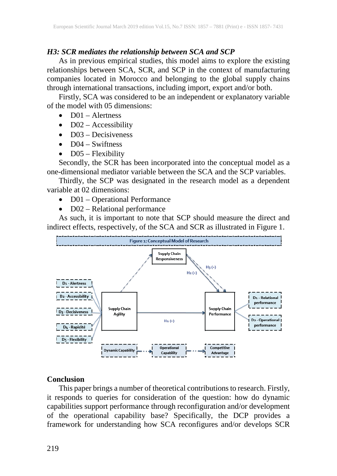### *H3: SCR mediates the relationship between SCA and SCP*

As in previous empirical studies, this model aims to explore the existing relationships between SCA, SCR, and SCP in the context of manufacturing companies located in Morocco and belonging to the global supply chains through international transactions, including import, export and/or both.

Firstly, SCA was considered to be an independent or explanatory variable of the model with 05 dimensions:

- D01 Alertness
- $D02 Accessibility$
- D03 Decisiveness
- $D04 Swiftness$
- $D05$  Flexibility

Secondly, the SCR has been incorporated into the conceptual model as a one-dimensional mediator variable between the SCA and the SCP variables.

Thirdly, the SCP was designated in the research model as a dependent variable at 02 dimensions:

- D01 Operational Performance
- D02 Relational performance

As such, it is important to note that SCP should measure the direct and indirect effects, respectively, of the SCA and SCR as illustrated in Figure 1.



## **Conclusion**

This paper brings a number of theoretical contributions to research. Firstly, it responds to queries for consideration of the question: how do dynamic capabilities support performance through reconfiguration and/or development of the operational capability base? Specifically, the DCP provides a framework for understanding how SCA reconfigures and/or develops SCR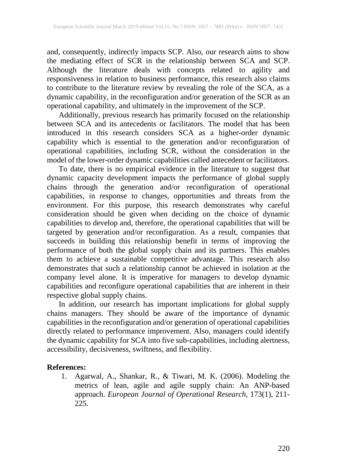and, consequently, indirectly impacts SCP. Also, our research aims to show the mediating effect of SCR in the relationship between SCA and SCP. Although the literature deals with concepts related to agility and responsiveness in relation to business performance, this research also claims to contribute to the literature review by revealing the role of the SCA, as a dynamic capability, in the reconfiguration and/or generation of the SCR as an operational capability, and ultimately in the improvement of the SCP.

Additionally, previous research has primarily focused on the relationship between SCA and its antecedents or facilitators. The model that has been introduced in this research considers SCA as a higher-order dynamic capability which is essential to the generation and/or reconfiguration of operational capabilities, including SCR, without the consideration in the model of the lower-order dynamic capabilities called antecedent or facilitators.

To date, there is no empirical evidence in the literature to suggest that dynamic capacity development impacts the performance of global supply chains through the generation and/or reconfiguration of operational capabilities, in response to changes, opportunities and threats from the environment. For this purpose, this research demonstrates why careful consideration should be given when deciding on the choice of dynamic capabilities to develop and, therefore, the operational capabilities that will be targeted by generation and/or reconfiguration. As a result, companies that succeeds in building this relationship benefit in terms of improving the performance of both the global supply chain and its partners. This enables them to achieve a sustainable competitive advantage. This research also demonstrates that such a relationship cannot be achieved in isolation at the company level alone. It is imperative for managers to develop dynamic capabilities and reconfigure operational capabilities that are inherent in their respective global supply chains.

In addition, our research has important implications for global supply chains managers. They should be aware of the importance of dynamic capabilities in the reconfiguration and/or generation of operational capabilities directly related to performance improvement. Also, managers could identify the dynamic capability for SCA into five sub-capabilities, including alertness, accessibility, decisiveness, swiftness, and flexibility.

## **References:**

1. Agarwal, A., Shankar, R., & Tiwari, M. K. (2006). Modeling the metrics of lean, agile and agile supply chain: An ANP-based approach. *European Journal of Operational Research*, 173(1), 211- 225.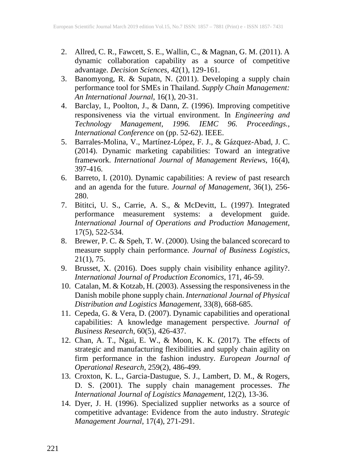- 2. Allred, C. R., Fawcett, S. E., Wallin, C., & Magnan, G. M. (2011). A dynamic collaboration capability as a source of competitive advantage. *Decision Sciences*, 42(1), 129-161.
- 3. Banomyong, R. & Supatn, N. (2011). Developing a supply chain performance tool for SMEs in Thailand. *Supply Chain Management: An International Journal*, 16(1), 20-31.
- 4. Barclay, I., Poolton, J., & Dann, Z. (1996). Improving competitive responsiveness via the virtual environment. In *Engineering and*<br>Technology Management, 1996. IEMC 96. Proceedings., *IEMC* 96. Proceedings., *International Conference* on (pp. 52-62). IEEE.
- 5. Barrales-Molina, V., Martínez-López, F. J., & Gázquez-Abad, J. C. (2014). Dynamic marketing capabilities: Toward an integrative framework. *International Journal of Management Reviews*, 16(4), 397-416.
- 6. Barreto, I. (2010). Dynamic capabilities: A review of past research and an agenda for the future. *Journal of Management*, 36(1), 256- 280.
- 7. Bititci, U. S., Carrie, A. S., & McDevitt, L. (1997). Integrated performance measurement systems: a development guide. *International Journal of Operations and Production Management*, 17(5), 522-534.
- 8. Brewer, P. C. & Speh, T. W. (2000). Using the balanced scorecard to measure supply chain performance. *Journal of Business Logistics*, 21(1), 75.
- 9. Brusset, X. (2016). Does supply chain visibility enhance agility?. *International Journal of Production Economics*, 171, 46-59.
- 10. Catalan, M. & Kotzab, H. (2003). Assessing the responsiveness in the Danish mobile phone supply chain. *International Journal of Physical Distribution and Logistics Management*, 33(8), 668-685.
- 11. Cepeda, G. & Vera, D. (2007). Dynamic capabilities and operational capabilities: A knowledge management perspective. *Journal of Business Research*, 60(5), 426-437.
- 12. Chan, A. T., Ngai, E. W., & Moon, K. K. (2017). The effects of strategic and manufacturing flexibilities and supply chain agility on firm performance in the fashion industry. *European Journal of Operational Research*, 259(2), 486-499.
- 13. Croxton, K. L., Garcia-Dastugue, S. J., Lambert, D. M., & Rogers, D. S. (2001). The supply chain management processes. *The International Journal of Logistics Management*, 12(2), 13-36.
- 14. Dyer, J. H. (1996). Specialized supplier networks as a source of competitive advantage: Evidence from the auto industry. *Strategic Management Journal*, 17(4), 271-291.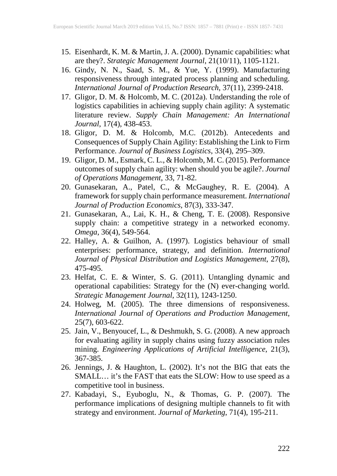- 15. Eisenhardt, K. M. & Martin, J. A. (2000). Dynamic capabilities: what are they?. *Strategic Management Journal*, 21(10/11), 1105-1121.
- 16. Gindy, N. N., Saad, S. M., & Yue, Y. (1999). Manufacturing responsiveness through integrated process planning and scheduling. *International Journal of Production Research*, 37(11), 2399-2418.
- 17. Gligor, D. M. & Holcomb, M. C. (2012a). Understanding the role of logistics capabilities in achieving supply chain agility: A systematic literature review. *Supply Chain Management: An International Journal*, 17(4), 438-453.
- 18. Gligor, D. M. & Holcomb, M.C. (2012b). Antecedents and Consequences of Supply Chain Agility: Establishing the Link to Firm Performance. *Journal of Business Logistics*, 33(4), 295–309.
- 19. Gligor, D. M., Esmark, C. L., & Holcomb, M. C. (2015). Performance outcomes of supply chain agility: when should you be agile?. *Journal of Operations Management*, 33, 71-82.
- 20. Gunasekaran, A., Patel, C., & McGaughey, R. E. (2004). A framework for supply chain performance measurement. *International Journal of Production Economics*, 87(3), 333-347.
- 21. Gunasekaran, A., Lai, K. H., & Cheng, T. E. (2008). Responsive supply chain: a competitive strategy in a networked economy. *Omega*, 36(4), 549-564.
- 22. Halley, A. & Guilhon, A. (1997). Logistics behaviour of small enterprises: performance, strategy, and definition. *International Journal of Physical Distribution and Logistics Management*, 27(8), 475-495.
- 23. Helfat, C. E. & Winter, S. G. (2011). Untangling dynamic and operational capabilities: Strategy for the (N) ever-changing world. *Strategic Management Journal*, 32(11), 1243-1250.
- 24. Holweg, M. (2005). The three dimensions of responsiveness. *International Journal of Operations and Production Management*, 25(7), 603-622.
- 25. Jain, V., Benyoucef, L., & Deshmukh, S. G. (2008). A new approach for evaluating agility in supply chains using fuzzy association rules mining. *Engineering Applications of Artificial Intelligence*, 21(3), 367-385.
- 26. Jennings, J. & Haughton, L. (2002). It's not the BIG that eats the SMALL… it's the FAST that eats the SLOW: How to use speed as a competitive tool in business.
- 27. Kabadayi, S., Eyuboglu, N., & Thomas, G. P. (2007). The performance implications of designing multiple channels to fit with strategy and environment. *Journal of Marketing*, 71(4), 195-211.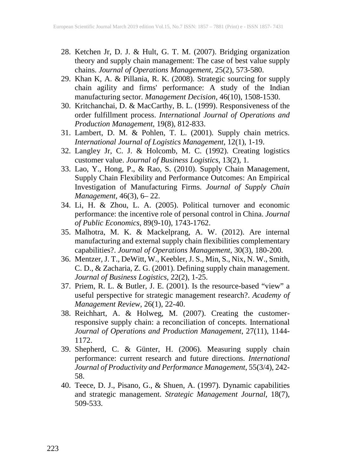- 28. Ketchen Jr, D. J. & Hult, G. T. M. (2007). Bridging organization theory and supply chain management: The case of best value supply chains. *Journal of Operations Management*, 25(2), 573-580.
- 29. Khan K, A. & Pillania, R. K. (2008). Strategic sourcing for supply chain agility and firms' performance: A study of the Indian manufacturing sector. *Management Decision*, 46(10), 1508-1530.
- 30. Kritchanchai, D. & MacCarthy, B. L. (1999). Responsiveness of the order fulfillment process. *International Journal of Operations and Production Management*, 19(8), 812-833.
- 31. Lambert, D. M. & Pohlen, T. L. (2001). Supply chain metrics. *International Journal of Logistics Management*, 12(1), 1-19.
- 32. Langley Jr, C. J. & Holcomb, M. C. (1992). Creating logistics customer value. *Journal of Business Logistics*, 13(2), 1.
- 33. Lao, Y., Hong, P., & Rao, S. (2010). Supply Chain Management, Supply Chain Flexibility and Performance Outcomes: An Empirical Investigation of Manufacturing Firms. *Journal of Supply Chain Management*, 46(3), 6– 22.
- 34. Li, H. & Zhou, L. A. (2005). Political turnover and economic performance: the incentive role of personal control in China. *Journal of Public Economics*, 89(9-10), 1743-1762.
- 35. Malhotra, M. K. & Mackelprang, A. W. (2012). Are internal manufacturing and external supply chain flexibilities complementary capabilities?. *Journal of Operations Management*, 30(3), 180-200.
- 36. Mentzer, J. T., DeWitt, W., Keebler, J. S., Min, S., Nix, N. W., Smith, C. D., & Zacharia, Z. G. (2001). Defining supply chain management. *Journal of Business Logistics*, 22(2), 1-25.
- 37. Priem, R. L. & Butler, J. E. (2001). Is the resource-based "view" a useful perspective for strategic management research?. *Academy of Management Review*, 26(1), 22-40.
- 38. Reichhart, A. & Holweg, M. (2007). Creating the customerresponsive supply chain: a reconciliation of concepts. International *Journal of Operations and Production Management*, 27(11), 1144- 1172.
- 39. Shepherd, C. & Günter, H. (2006). Measuring supply chain performance: current research and future directions. *International Journal of Productivity and Performance Management*, 55(3/4), 242- 58.
- 40. Teece, D. J., Pisano, G., & Shuen, A. (1997). Dynamic capabilities and strategic management. *Strategic Management Journal*, 18(7), 509-533.